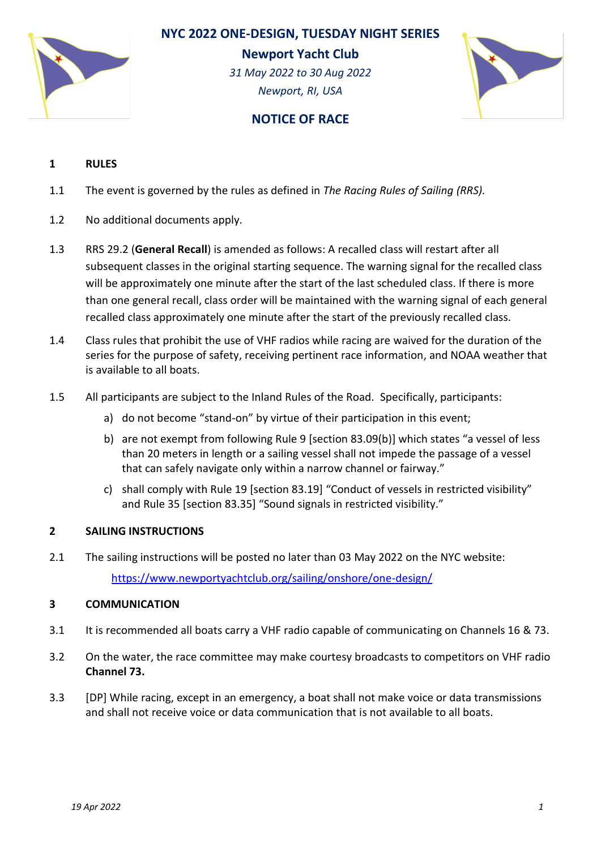

# **NYC 2022 ONE-DESIGN, TUESDAY NIGHT SERIES**

**Newport Yacht Club**

*31 May 2022 to 30 Aug 2022 Newport, RI, USA*



# **NOTICE OF RACE**

# **1 RULES**

- 1.1 The event is governed by the rules as defined in *The Racing Rules of Sailing (RRS).*
- 1.2 No additional documents apply.
- 1.3 RRS 29.2 (**General Recall**) is amended as follows: A recalled class will restart after all subsequent classes in the original starting sequence. The warning signal for the recalled class will be approximately one minute after the start of the last scheduled class. If there is more than one general recall, class order will be maintained with the warning signal of each general recalled class approximately one minute after the start of the previously recalled class.
- 1.4 Class rules that prohibit the use of VHF radios while racing are waived for the duration of the series for the purpose of safety, receiving pertinent race information, and NOAA weather that is available to all boats.
- 1.5 All participants are subject to the Inland Rules of the Road. Specifically, participants:
	- a) do not become "stand-on" by virtue of their participation in this event;
	- b) are not exempt from following Rule 9 [section 83.09(b)] which states "a vessel of less than 20 meters in length or a sailing vessel shall not impede the passage of a vessel that can safely navigate only within a narrow channel or fairway."
	- c) shall comply with Rule 19 [section 83.19] "Conduct of vessels in restricted visibility" and Rule 35 [section 83.35] "Sound signals in restricted visibility."

# **2 SAILING INSTRUCTIONS**

2.1 The sailing instructions will be posted no later than 03 May 2022 on the NYC website: <https://www.newportyachtclub.org/sailing/onshore/one-design/>

# **3 COMMUNICATION**

- 3.1 It is recommended all boats carry a VHF radio capable of communicating on Channels 16 & 73.
- 3.2 On the water, the race committee may make courtesy broadcasts to competitors on VHF radio **Channel 73.**
- 3.3 [DP] While racing, except in an emergency, a boat shall not make voice or data transmissions and shall not receive voice or data communication that is not available to all boats.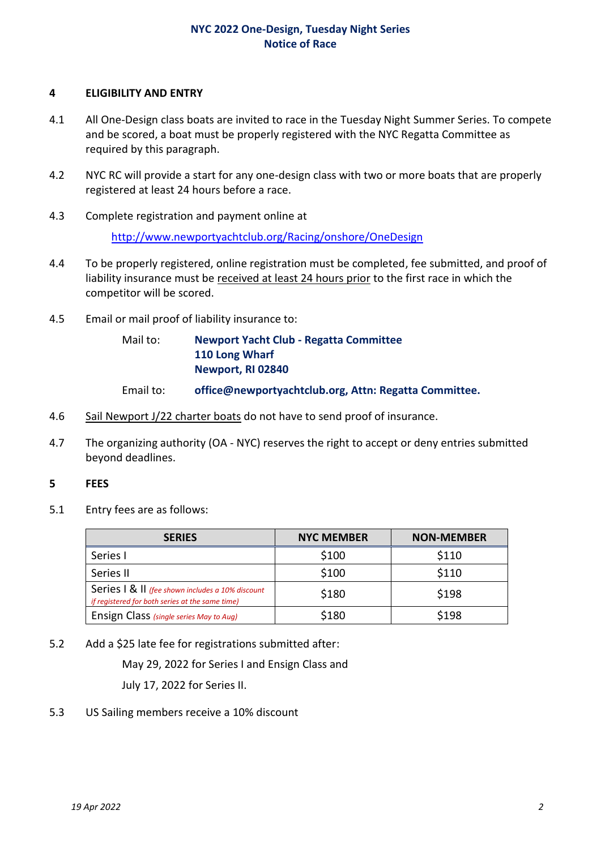## **NYC 2022 One-Design, Tuesday Night Series Notice of Race**

#### **4 ELIGIBILITY AND ENTRY**

- 4.1 All One-Design class boats are invited to race in the Tuesday Night Summer Series. To compete and be scored, a boat must be properly registered with the NYC Regatta Committee as required by this paragraph.
- 4.2 NYC RC will provide a start for any one-design class with two or more boats that are properly registered at least 24 hours before a race.
- 4.3 Complete registration and payment online at

<http://www.newportyachtclub.org/Racing/onshore/OneDesign>

- 4.4 To be properly registered, online registration must be completed, fee submitted, and proof of liability insurance must be received at least 24 hours prior to the first race in which the competitor will be scored.
- 4.5 Email or mail proof of liability insurance to:

# Mail to: **Newport Yacht Club - Regatta Committee 110 Long Wharf Newport, RI 02840**

- Email to: **office@newportyachtclub.org, Attn: Regatta Committee.**
- 4.6 Sail Newport J/22 charter boats do not have to send proof of insurance.
- 4.7 The organizing authority (OA NYC) reserves the right to accept or deny entries submitted beyond deadlines.

#### **5 FEES**

5.1 Entry fees are as follows:

| <b>SERIES</b>                                                                                       | <b>NYC MEMBER</b> | <b>NON-MEMBER</b> |
|-----------------------------------------------------------------------------------------------------|-------------------|-------------------|
| Series I                                                                                            | \$100             | \$110             |
| Series II                                                                                           | \$100             | \$110             |
| Series   & II (fee shown includes a 10% discount<br>if registered for both series at the same time) | \$180             | \$198             |
| Ensign Class (single series May to Aug)                                                             | \$180             | \$198             |

5.2 Add a \$25 late fee for registrations submitted after:

May 29, 2022 for Series I and Ensign Class and

July 17, 2022 for Series II.

5.3 US Sailing members receive a 10% discount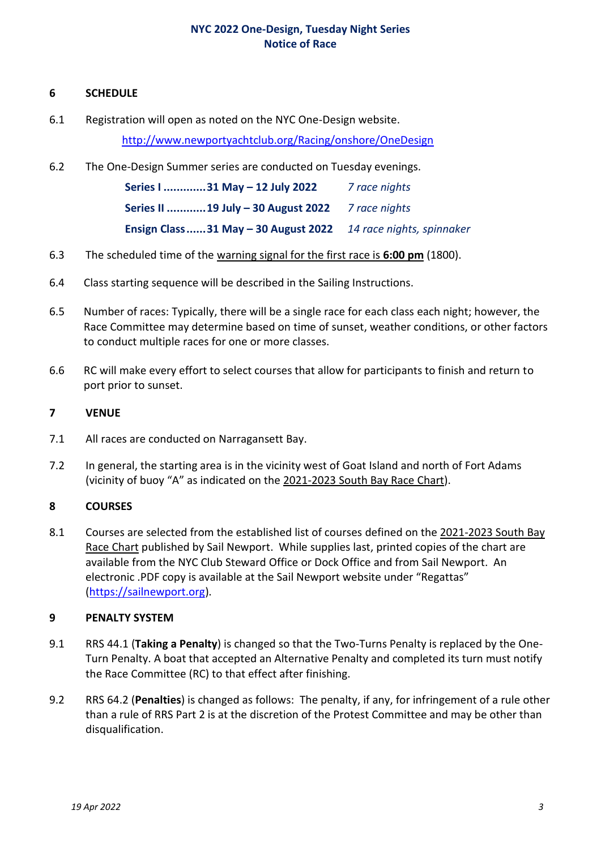## **NYC 2022 One-Design, Tuesday Night Series Notice of Race**

### **6 SCHEDULE**

6.1 Registration will open as noted on the NYC One-Design website.

<http://www.newportyachtclub.org/Racing/onshore/OneDesign>

6.2 The One-Design Summer series are conducted on Tuesday evenings.

| Series I 31 May - 12 July 2022                                | 7 race nights |
|---------------------------------------------------------------|---------------|
| Series II 19 July - 30 August 2022 7 race nights              |               |
| Ensign Class31 May - 30 August 2022 14 race nights, spinnaker |               |

- 6.3 The scheduled time of the warning signal for the first race is **6:00 pm** (1800).
- 6.4 Class starting sequence will be described in the Sailing Instructions.
- 6.5 Number of races: Typically, there will be a single race for each class each night; however, the Race Committee may determine based on time of sunset, weather conditions, or other factors to conduct multiple races for one or more classes.
- 6.6 RC will make every effort to select courses that allow for participants to finish and return to port prior to sunset.

## **7 VENUE**

- 7.1 All races are conducted on Narragansett Bay.
- 7.2 In general, the starting area is in the vicinity west of Goat Island and north of Fort Adams (vicinity of buoy "A" as indicated on the 2021-2023 South Bay Race Chart).

# **8 COURSES**

8.1 Courses are selected from the established list of courses defined on the 2021-2023 South Bay Race Chart published by Sail Newport. While supplies last, printed copies of the chart are available from the NYC Club Steward Office or Dock Office and from Sail Newport. An electronic .PDF copy is available at the Sail Newport website under "Regattas" [\(https://sailnewport.org\)](https://sailnewport.org/).

#### **9 PENALTY SYSTEM**

- 9.1 RRS 44.1 (**Taking a Penalty**) is changed so that the Two-Turns Penalty is replaced by the One-Turn Penalty. A boat that accepted an Alternative Penalty and completed its turn must notify the Race Committee (RC) to that effect after finishing.
- 9.2 RRS 64.2 (**Penalties**) is changed as follows: The penalty, if any, for infringement of a rule other than a rule of RRS Part 2 is at the discretion of the Protest Committee and may be other than disqualification.